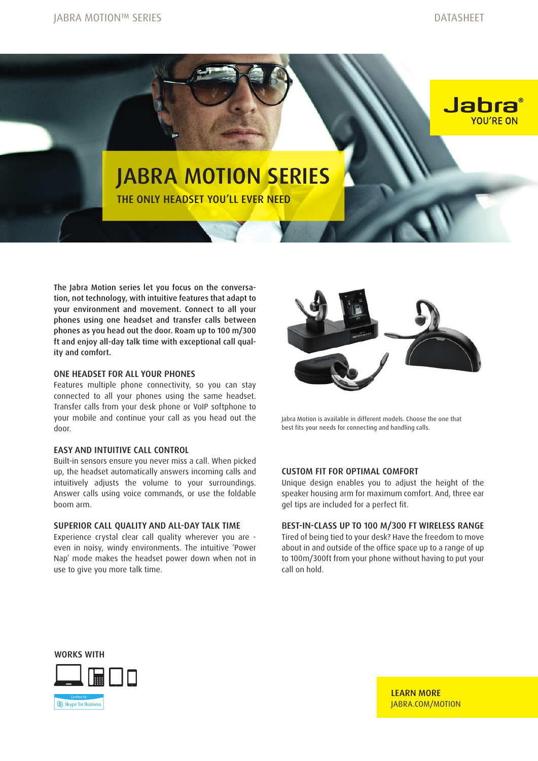Jabra

YOU'RE ON



# JABRA MOTION SERIES

THE ONLY HEADSET YOU'LL EVER NEED

The Jabra Motion series let you focus on the conversation, not technology, with intuitive features that adapt to your environment and movement. Connect to all your phones using one headset and transfer calls between phones as you head out the door. Roam up to 100 m/300 ft and enjoy all-day talk time with exceptional call quality and comfort.

#### ONE HEADSET FOR ALL YOUR PHONES

Features multiple phone connectivity, so you can stay connected to all your phones using the same headset. Transfer calls from your desk phone or VoIP softphone to your mobile and continue your call as you head out the door.

### EASY AND INTUITIVE CALL CONTROL

Built-in sensors ensure you never miss a call. When picked up, the headset automatically answers incoming calls and intuitively adjusts the volume to your surroundings. Answer calls using voice commands, or use the foldable boom arm.

#### SUPERIOR CALL QUALITY AND ALL-DAY TALK TIME

Experience crystal clear call quality wherever you are even in noisy, windy environments. The intuitive 'Power Nap' mode makes the headset power down when not in use to give you more talk time.



Jabra Motion is available in different models. Choose the one that best fits your needs for connecting and handling calls.

#### CUSTOM FIT FOR OPTIMAL COMFORT

Unique design enables you to adjust the height of the speaker housing arm for maximum comfort. And, three ear gel tips are included for a perfect fit.

#### BEST-IN-CLASS UP TO 100 M/300 FT WIRELESS RANGE

Tired of being tied to your desk? Have the freedom to move about in and outside of the office space up to a range of up to 100m/300ft from your phone without having to put your call on hold.

WORKS WITH



LEARN MORE [JABRA.COM/MOTION](http://JABRA.COM/MOTION)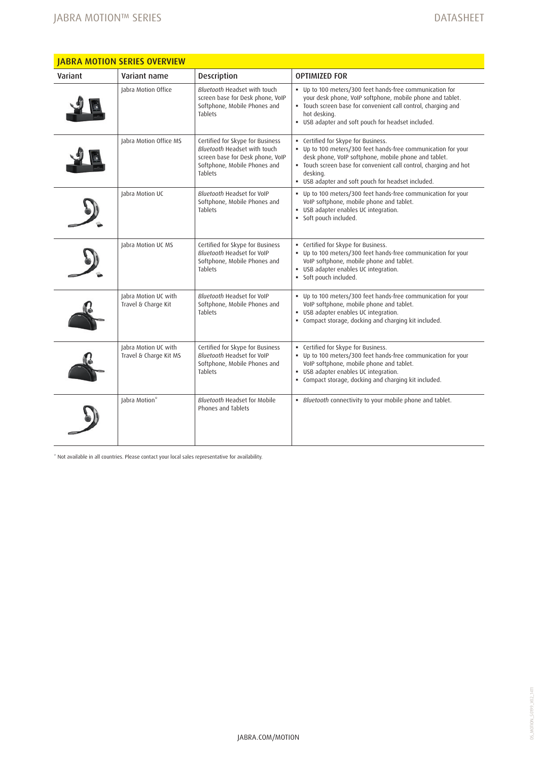| <b>JABRA MOTION SERIES OVERVIEW</b> |                                                |                                                                                                                                                        |                                                                                                                                                                                                                                                                                                     |
|-------------------------------------|------------------------------------------------|--------------------------------------------------------------------------------------------------------------------------------------------------------|-----------------------------------------------------------------------------------------------------------------------------------------------------------------------------------------------------------------------------------------------------------------------------------------------------|
| Variant                             | Variant name                                   | Description                                                                                                                                            | <b>OPTIMIZED FOR</b>                                                                                                                                                                                                                                                                                |
|                                     | Jabra Motion Office                            | Bluetooth Headset with touch<br>screen base for Desk phone, VoIP<br>Softphone, Mobile Phones and<br><b>Tablets</b>                                     | . Up to 100 meters/300 feet hands-free communication for<br>your desk phone, VoIP softphone, mobile phone and tablet.<br>. Touch screen base for convenient call control, charging and<br>hot desking.<br>. USB adapter and soft pouch for headset included.                                        |
|                                     | Jabra Motion Office MS                         | Certified for Skype for Business<br>Bluetooth Headset with touch<br>screen base for Desk phone, VoIP<br>Softphone, Mobile Phones and<br><b>Tablets</b> | • Certified for Skype for Business.<br>• Up to 100 meters/300 feet hands-free communication for your<br>desk phone, VoIP softphone, mobile phone and tablet.<br>· Touch screen base for convenient call control, charging and hot<br>desking.<br>" USB adapter and soft pouch for headset included. |
|                                     | Jabra Motion UC                                | Bluetooth Headset for VoIP<br>Softphone, Mobile Phones and<br><b>Tablets</b>                                                                           | • Up to 100 meters/300 feet hands-free communication for your<br>VoIP softphone, mobile phone and tablet.<br>· USB adapter enables UC integration.<br>· Soft pouch included.                                                                                                                        |
|                                     | Jabra Motion UC MS                             | Certified for Skype for Business<br>Bluetooth Headset for VoIP<br>Softphone, Mobile Phones and<br><b>Tablets</b>                                       | • Certified for Skype for Business.<br>• Up to 100 meters/300 feet hands-free communication for your<br>VoIP softphone, mobile phone and tablet.<br>· USB adapter enables UC integration.<br>· Soft pouch included.                                                                                 |
|                                     | Jabra Motion UC with<br>Travel & Charge Kit    | Bluetooth Headset for VoIP<br>Softphone, Mobile Phones and<br><b>Tablets</b>                                                                           | • Up to 100 meters/300 feet hands-free communication for your<br>VoIP softphone, mobile phone and tablet.<br>· USB adapter enables UC integration.<br>. Compact storage, docking and charging kit included.                                                                                         |
|                                     | Jabra Motion UC with<br>Travel & Charge Kit MS | Certified for Skype for Business<br>Bluetooth Headset for VoIP<br>Softphone, Mobile Phones and<br><b>Tablets</b>                                       | • Certified for Skype for Business.<br>• Up to 100 meters/300 feet hands-free communication for your<br>VoIP softphone, mobile phone and tablet.<br>· USB adapter enables UC integration.<br>• Compact storage, docking and charging kit included.                                                  |
|                                     | Jabra Motion*                                  | <b>Bluetooth Headset for Mobile</b><br>Phones and Tablets                                                                                              | · Bluetooth connectivity to your mobile phone and tablet.                                                                                                                                                                                                                                           |

\* Not available in all countries. Please contact your local sales representative for availability.